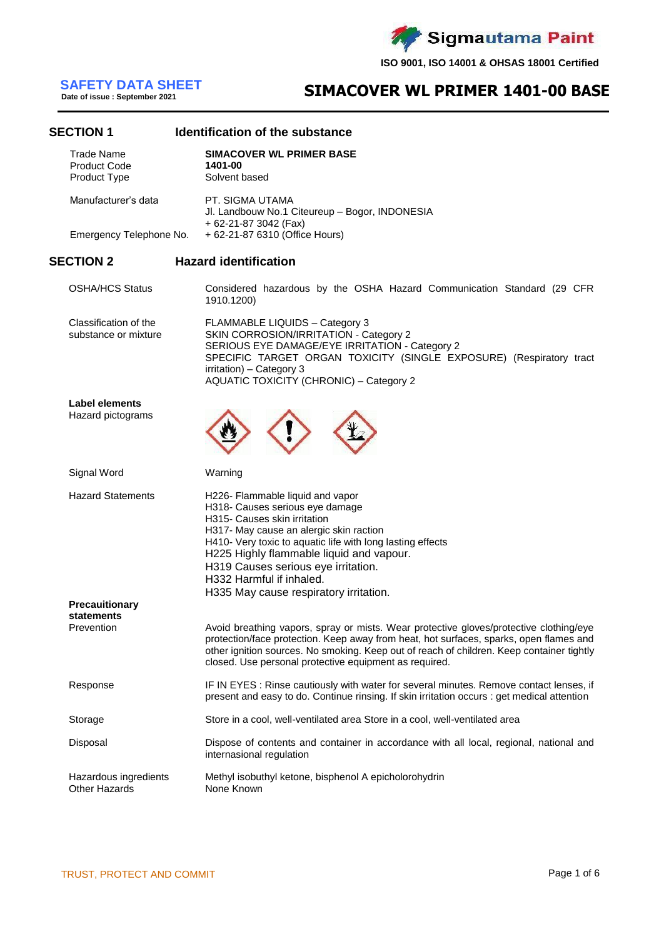

# **SAFETY DATA SHEET**<br>Date of issue : September 2021

## **SIMACOVER WL PRIMER 1401-00 BASE**

### **SECTION 1 Identification of the substance**

| <b>Trade Name</b><br><b>Product Code</b><br>Product Type |  | <b>SIMACOVER WL PRIMER BASE</b><br>1401-00<br>Solvent based                                                                                                                                                                                                                                                                                                           |  |  |  |  |
|----------------------------------------------------------|--|-----------------------------------------------------------------------------------------------------------------------------------------------------------------------------------------------------------------------------------------------------------------------------------------------------------------------------------------------------------------------|--|--|--|--|
| Manufacturer's data                                      |  | PT. SIGMA UTAMA<br>Jl. Landbouw No.1 Citeureup - Bogor, INDONESIA                                                                                                                                                                                                                                                                                                     |  |  |  |  |
| Emergency Telephone No.                                  |  | + 62-21-87 3042 (Fax)<br>+ 62-21-87 6310 (Office Hours)                                                                                                                                                                                                                                                                                                               |  |  |  |  |
| <b>SECTION 2</b>                                         |  | <b>Hazard identification</b>                                                                                                                                                                                                                                                                                                                                          |  |  |  |  |
| <b>OSHA/HCS Status</b>                                   |  | Considered hazardous by the OSHA Hazard Communication Standard (29 CFR<br>1910.1200)                                                                                                                                                                                                                                                                                  |  |  |  |  |
| Classification of the<br>substance or mixture            |  | FLAMMABLE LIQUIDS - Category 3<br>SKIN CORROSION/IRRITATION - Category 2<br>SERIOUS EYE DAMAGE/EYE IRRITATION - Category 2<br>SPECIFIC TARGET ORGAN TOXICITY (SINGLE EXPOSURE) (Respiratory tract<br>irritation) - Category 3<br><b>AQUATIC TOXICITY (CHRONIC) - Category 2</b>                                                                                       |  |  |  |  |
| Label elements<br>Hazard pictograms                      |  |                                                                                                                                                                                                                                                                                                                                                                       |  |  |  |  |
| Signal Word                                              |  | Warning                                                                                                                                                                                                                                                                                                                                                               |  |  |  |  |
| <b>Hazard Statements</b>                                 |  | H226- Flammable liquid and vapor<br>H318- Causes serious eye damage<br>H315- Causes skin irritation<br>H317- May cause an alergic skin raction<br>H410- Very toxic to aquatic life with long lasting effects<br>H225 Highly flammable liquid and vapour.<br>H319 Causes serious eye irritation.<br>H332 Harmful if inhaled.<br>H335 May cause respiratory irritation. |  |  |  |  |
| <b>Precauitionary</b><br>statements                      |  |                                                                                                                                                                                                                                                                                                                                                                       |  |  |  |  |
| Prevention                                               |  | Avoid breathing vapors, spray or mists. Wear protective gloves/protective clothing/eye<br>protection/face protection. Keep away from heat, hot surfaces, sparks, open flames and<br>other ignition sources. No smoking. Keep out of reach of children. Keep container tightly<br>closed. Use personal protective equipment as required.                               |  |  |  |  |
| Response                                                 |  | IF IN EYES : Rinse cautiously with water for several minutes. Remove contact lenses, if<br>present and easy to do. Continue rinsing. If skin irritation occurs : get medical attention                                                                                                                                                                                |  |  |  |  |
| Storage                                                  |  | Store in a cool, well-ventilated area Store in a cool, well-ventilated area                                                                                                                                                                                                                                                                                           |  |  |  |  |
| Disposal                                                 |  | Dispose of contents and container in accordance with all local, regional, national and<br>internasional regulation                                                                                                                                                                                                                                                    |  |  |  |  |
| Hazardous ingredients<br><b>Other Hazards</b>            |  | Methyl isobuthyl ketone, bisphenol A epicholorohydrin<br>None Known                                                                                                                                                                                                                                                                                                   |  |  |  |  |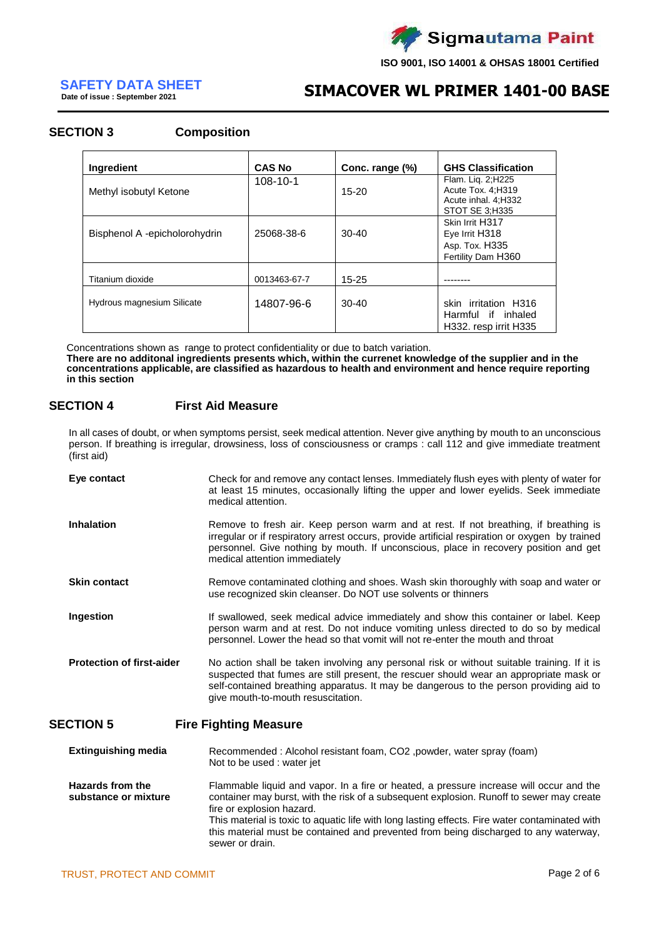

**Date of issue : September 2021**

## **SIMACOVER WL PRIMER 1401-00 BASE SAFETY DATA SHEET**

### **SECTION 3 Composition**

| Ingredient                        | <b>CAS No</b>  | Conc. range (%) | <b>GHS Classification</b>                                                               |
|-----------------------------------|----------------|-----------------|-----------------------------------------------------------------------------------------|
| Methyl isobutyl Ketone            | $108 - 10 - 1$ | $15-20$         | Flam. Lig. 2; H225<br>Acute Tox. 4:H319<br>Acute inhal. 4:H332<br><b>STOT SE 3:H335</b> |
| Bisphenol A -epicholorohydrin     | 25068-38-6     | $30 - 40$       | Skin Irrit H317<br>Eye Irrit H318<br>Asp. Tox. H335<br>Fertility Dam H360               |
| Titanium dioxide                  | 0013463-67-7   | $15 - 25$       |                                                                                         |
| <b>Hydrous magnesium Silicate</b> | 14807-96-6     | $30-40$         | skin irritation H316<br>Harmful if inhaled<br>H332. resp irrit H335                     |

Concentrations shown as range to protect confidentiality or due to batch variation.

**There are no additonal ingredients presents which, within the currenet knowledge of the supplier and in the concentrations applicable, are classified as hazardous to health and environment and hence require reporting in this section**

### **SECTION 4 First Aid Measure**

In all cases of doubt, or when symptoms persist, seek medical attention. Never give anything by mouth to an unconscious person. If breathing is irregular, drowsiness, loss of consciousness or cramps : call 112 and give immediate treatment (first aid)

| Eye contact                      | Check for and remove any contact lenses. Immediately flush eyes with plenty of water for<br>at least 15 minutes, occasionally lifting the upper and lower eyelids. Seek immediate<br>medical attention.                                                                                                               |
|----------------------------------|-----------------------------------------------------------------------------------------------------------------------------------------------------------------------------------------------------------------------------------------------------------------------------------------------------------------------|
| <b>Inhalation</b>                | Remove to fresh air. Keep person warm and at rest. If not breathing, if breathing is<br>irregular or if respiratory arrest occurs, provide artificial respiration or oxygen by trained<br>personnel. Give nothing by mouth. If unconscious, place in recovery position and get<br>medical attention immediately       |
| <b>Skin contact</b>              | Remove contaminated clothing and shoes. Wash skin thoroughly with soap and water or<br>use recognized skin cleanser. Do NOT use solvents or thinners                                                                                                                                                                  |
| Ingestion                        | If swallowed, seek medical advice immediately and show this container or label. Keep<br>person warm and at rest. Do not induce vomiting unless directed to do so by medical<br>personnel. Lower the head so that vomit will not re-enter the mouth and throat                                                         |
| <b>Protection of first-aider</b> | No action shall be taken involving any personal risk or without suitable training. If it is<br>suspected that fumes are still present, the rescuer should wear an appropriate mask or<br>self-contained breathing apparatus. It may be dangerous to the person providing aid to<br>give mouth-to-mouth resuscitation. |
| <b>CTION 5</b>                   | Fire Fighting Messure                                                                                                                                                                                                                                                                                                 |

### **SECTION 5 Fire Fighting Measure**

**Extinguishing media** Recommended : Alcohol resistant foam, CO2 ,powder, water spray (foam) Not to be used : water jet **Hazards from the substance or mixture** Flammable liquid and vapor. In a fire or heated, a pressure increase will occur and the container may burst, with the risk of a subsequent explosion. Runoff to sewer may create

fire or explosion hazard. This material is toxic to aquatic life with long lasting effects. Fire water contaminated with this material must be contained and prevented from being discharged to any waterway, sewer or drain.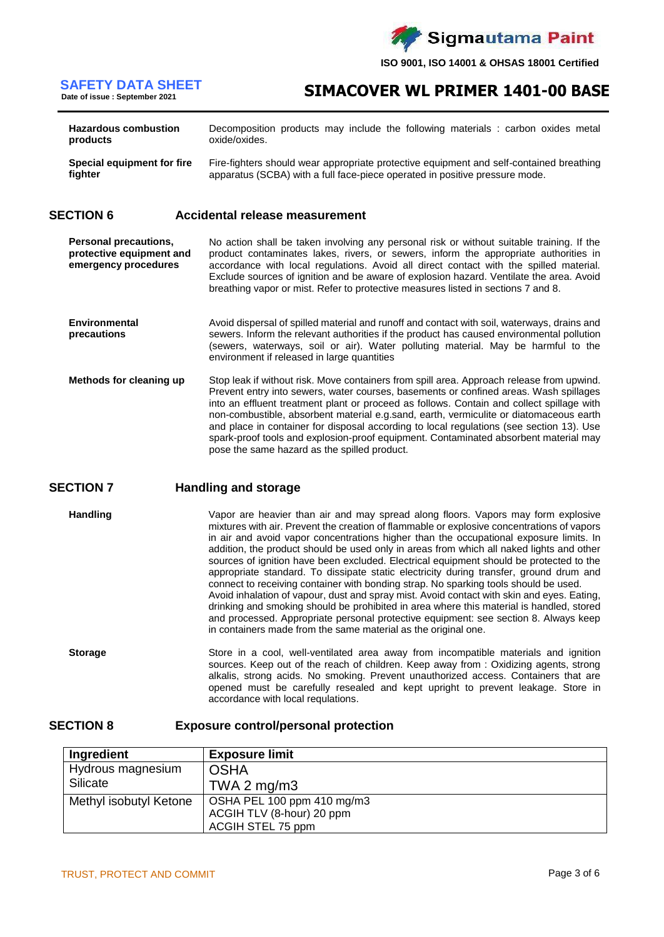

## **SIMACOVER WL PRIMER 1401-00 BASE SAFETY DATA SHEET**

| <b>Hazardous combustion</b> | Decomposition products may include the following materials : carbon oxides metal        |
|-----------------------------|-----------------------------------------------------------------------------------------|
| products                    | oxide/oxides.                                                                           |
| Special equipment for fire  | Fire-fighters should wear appropriate protective equipment and self-contained breathing |
| fighter                     | apparatus (SCBA) with a full face-piece operated in positive pressure mode.             |

### **SECTION 6 Accidental release measurement**

**Personal precautions, protective equipment and emergency procedures** No action shall be taken involving any personal risk or without suitable training. If the product contaminates lakes, rivers, or sewers, inform the appropriate authorities in accordance with local regulations. Avoid all direct contact with the spilled material. Exclude sources of ignition and be aware of explosion hazard. Ventilate the area. Avoid breathing vapor or mist. Refer to protective measures listed in sections 7 and 8.

- **Environmental precautions** Avoid dispersal of spilled material and runoff and contact with soil, waterways, drains and sewers. Inform the relevant authorities if the product has caused environmental pollution (sewers, waterways, soil or air). Water polluting material. May be harmful to the environment if released in large quantities
- **Methods for cleaning up** Stop leak if without risk. Move containers from spill area. Approach release from upwind. Prevent entry into sewers, water courses, basements or confined areas. Wash spillages into an effluent treatment plant or proceed as follows. Contain and collect spillage with non-combustible, absorbent material e.g.sand, earth, vermiculite or diatomaceous earth and place in container for disposal according to local regulations (see section 13). Use spark-proof tools and explosion-proof equipment. Contaminated absorbent material may pose the same hazard as the spilled product.

### **SECTION 7 Handling and storage**

**Handling** Vapor are heavier than air and may spread along floors. Vapors may form explosive mixtures with air. Prevent the creation of flammable or explosive concentrations of vapors in air and avoid vapor concentrations higher than the occupational exposure limits. In addition, the product should be used only in areas from which all naked lights and other sources of ignition have been excluded. Electrical equipment should be protected to the appropriate standard. To dissipate static electricity during transfer, ground drum and connect to receiving container with bonding strap. No sparking tools should be used. Avoid inhalation of vapour, dust and spray mist. Avoid contact with skin and eyes. Eating, drinking and smoking should be prohibited in area where this material is handled, stored and processed. Appropriate personal protective equipment: see section 8. Always keep in containers made from the same material as the original one.

**Storage** Store in a cool, well-ventilated area away from incompatible materials and ignition sources. Keep out of the reach of children. Keep away from : Oxidizing agents, strong alkalis, strong acids. No smoking. Prevent unauthorized access. Containers that are opened must be carefully resealed and kept upright to prevent leakage. Store in accordance with local requlations.

### **SECTION 8 Exposure control/personal protection**

| Ingredient             | <b>Exposure limit</b>      |
|------------------------|----------------------------|
| Hydrous magnesium      | <b>OSHA</b>                |
| Silicate               | TWA 2 $mg/m3$              |
| Methyl isobutyl Ketone | OSHA PEL 100 ppm 410 mg/m3 |
|                        | ACGIH TLV (8-hour) 20 ppm  |
|                        | ACGIH STEL 75 ppm          |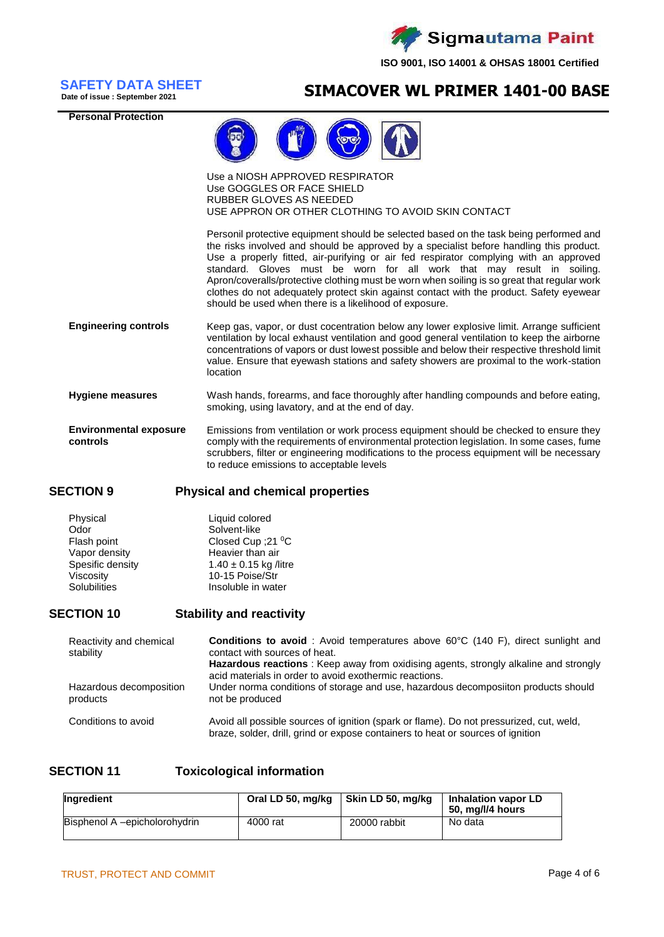

**Date of issue : September 2021**

**Personal Protection**

## **SIMACOVER WL PRIMER 1401-00 BASE SAFETY DATA SHEET**



Use a NIOSH APPROVED RESPIRATOR Use GOGGLES OR FACE SHIELD RUBBER GLOVES AS NEEDED USE APPRON OR OTHER CLOTHING TO AVOID SKIN CONTACT

Personil protective equipment should be selected based on the task being performed and the risks involved and should be approved by a specialist before handling this product. Use a properly fitted, air-purifying or air fed respirator complying with an approved standard. Gloves must be worn for all work that may result in soiling. Apron/coveralls/protective clothing must be worn when soiling is so great that regular work clothes do not adequately protect skin against contact with the product. Safety eyewear should be used when there is a likelihood of exposure.

- **Engineering controls** Keep gas, vapor, or dust cocentration below any lower explosive limit. Arrange sufficient ventilation by local exhaust ventilation and good general ventilation to keep the airborne concentrations of vapors or dust lowest possible and below their respective threshold limit value. Ensure that eyewash stations and safety showers are proximal to the work-station location
- **Hygiene measures** Wash hands, forearms, and face thoroughly after handling compounds and before eating, smoking, using lavatory, and at the end of day.
- **Environmental exposure controls** Emissions from ventilation or work process equipment should be checked to ensure they comply with the requirements of environmental protection legislation. In some cases, fume scrubbers, filter or engineering modifications to the process equipment will be necessary to reduce emissions to acceptable levels

### **SECTION 9 Physical and chemical properties**

| Physical            | Liquid colored            |
|---------------------|---------------------------|
| Odor                | Solvent-like              |
| Flash point         | Closed Cup : 21 °C        |
| Vapor density       | Heavier than air          |
| Spesific density    | $1.40 \pm 0.15$ kg /litre |
| Viscosity           | 10-15 Poise/Str           |
| <b>Solubilities</b> | Insoluble in water        |

### **SECTION 10 Stability and reactivity**

| Reactivity and chemical<br>stability | <b>Conditions to avoid</b> : Avoid temperatures above 60°C (140 F), direct sunlight and<br>contact with sources of heat.<br>Hazardous reactions: Keep away from oxidising agents, strongly alkaline and strongly<br>acid materials in order to avoid exothermic reactions. |
|--------------------------------------|----------------------------------------------------------------------------------------------------------------------------------------------------------------------------------------------------------------------------------------------------------------------------|
| Hazardous decomposition<br>products  | Under norma conditions of storage and use, hazardous decomposiiton products should<br>not be produced                                                                                                                                                                      |
| Conditions to avoid                  | Avoid all possible sources of ignition (spark or flame). Do not pressurized, cut, weld,<br>braze, solder, drill, grind or expose containers to heat or sources of ignition                                                                                                 |

### **SECTION 11 Toxicological information**

| Ingredient                    | Oral LD 50, mg/kg | Skin LD 50, mg/kg | <b>Inhalation vapor LD</b><br>50, mg/l/4 hours |
|-------------------------------|-------------------|-------------------|------------------------------------------------|
| Bisphenol A –epicholorohydrin | 4000 rat          | 20000 rabbit      | No data                                        |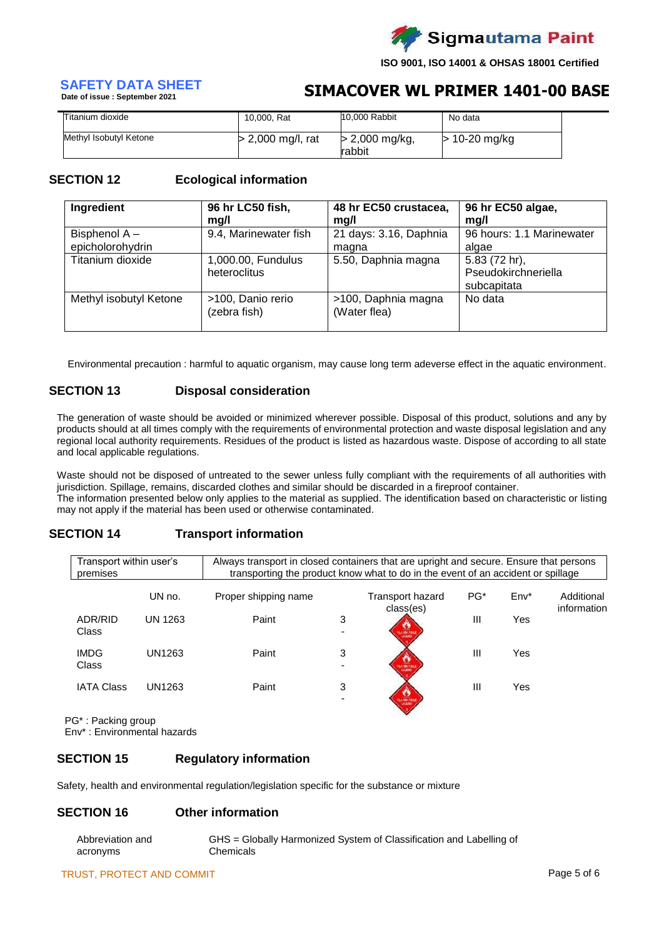

## **Date of issue : September 2021**

## **SIMACOVER WL PRIMER 1401-00 BASE SAFETY DATA SHEET**

| Titanium dioxide       | 10,000, Rat       | 10,000 Rabbit              | No data         |  |
|------------------------|-------------------|----------------------------|-----------------|--|
| Methyl Isobutyl Ketone | > 2,000 mg/l, rat | $> 2,000$ mg/kg,<br>rabbit | $>$ 10-20 mg/kg |  |

### **SECTION 12 Ecological information**

| 96 hr LC50 fish,<br>Ingredient |                       | 48 hr EC50 crustacea,  | 96 hr EC50 algae,         |  |  |
|--------------------------------|-----------------------|------------------------|---------------------------|--|--|
|                                | mg/l                  | mg/l                   | mq/l                      |  |  |
| Bisphenol A-                   | 9.4, Marinewater fish | 21 days: 3.16, Daphnia | 96 hours: 1.1 Marinewater |  |  |
| epicholorohydrin               |                       | magna                  | algae                     |  |  |
| Titanium dioxide               | 1,000.00, Fundulus    | 5.50, Daphnia magna    | 5.83 (72 hr),             |  |  |
|                                | heteroclitus          |                        | Pseudokirchneriella       |  |  |
|                                |                       |                        | subcapitata               |  |  |
| Methyl isobutyl Ketone         | >100, Danio rerio     | >100, Daphnia magna    | No data                   |  |  |
|                                | (zebra fish)          | (Water flea)           |                           |  |  |
|                                |                       |                        |                           |  |  |

Environmental precaution : harmful to aquatic organism, may cause long term adeverse effect in the aquatic environment.

### **SECTION 13 Disposal consideration**

The generation of waste should be avoided or minimized wherever possible. Disposal of this product, solutions and any by products should at all times comply with the requirements of environmental protection and waste disposal legislation and any regional local authority requirements. Residues of the product is listed as hazardous waste. Dispose of according to all state and local applicable regulations.

Waste should not be disposed of untreated to the sewer unless fully compliant with the requirements of all authorities with jurisdiction. Spillage, remains, discarded clothes and similar should be discarded in a fireproof container. The information presented below only applies to the material as supplied. The identification based on characteristic or listing may not apply if the material has been used or otherwise contaminated.

### **SECTION 14 Transport information**

| Transport within user's<br>premises |         | Always transport in closed containers that are upright and secure. Ensure that persons |   | transporting the product know what to do in the event of an accident or spillage |       |        |                           |
|-------------------------------------|---------|----------------------------------------------------------------------------------------|---|----------------------------------------------------------------------------------|-------|--------|---------------------------|
|                                     | UN no.  | Proper shipping name                                                                   |   | <b>Transport hazard</b><br>class(es)                                             | $PG*$ | $Env*$ | Additional<br>information |
| ADR/RID<br>Class                    | UN 1263 | Paint                                                                                  | 3 | <b>O</b>                                                                         | Ш     | Yes    |                           |
| <b>IMDG</b><br>Class                | UN1263  | Paint                                                                                  | 3 | 1601/09/10 04:0                                                                  | Ш     | Yes    |                           |
| <b>IATA Class</b>                   | UN1263  | Paint                                                                                  | 3 | <b>FLAMMARIES</b>                                                                | Ш     | Yes    |                           |

PG\* : Packing group Env\* : Environmental hazards

### **SECTION 15 Regulatory information**

Safety, health and environmental regulation/legislation specific for the substance or mixture

### **SECTION 16 Other information**

| Abbreviation and | GHS = Globally Harmonized System of Classification and Labelling of |
|------------------|---------------------------------------------------------------------|
| acronyms         | Chemicals                                                           |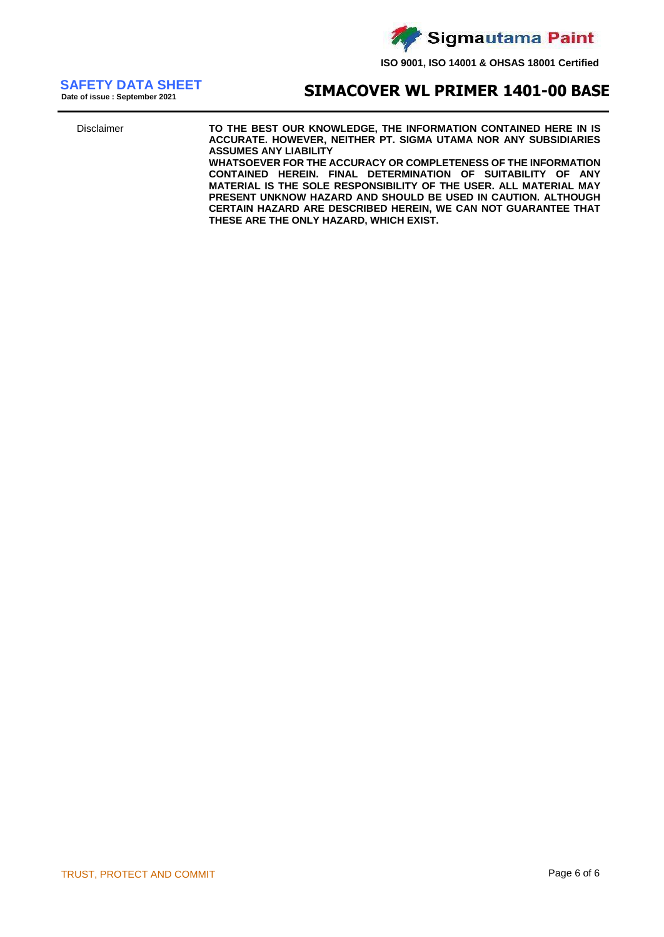

**Date of issue : September 2021**

## **SIMACOVER WL PRIMER 1401-00 BASE SAFETY DATA SHEET**

Disclaimer **TO THE BEST OUR KNOWLEDGE, THE INFORMATION CONTAINED HERE IN IS ACCURATE. HOWEVER, NEITHER PT. SIGMA UTAMA NOR ANY SUBSIDIARIES ASSUMES ANY LIABILITY**

**WHATSOEVER FOR THE ACCURACY OR COMPLETENESS OF THE INFORMATION CONTAINED HEREIN. FINAL DETERMINATION OF SUITABILITY OF ANY MATERIAL IS THE SOLE RESPONSIBILITY OF THE USER. ALL MATERIAL MAY PRESENT UNKNOW HAZARD AND SHOULD BE USED IN CAUTION. ALTHOUGH CERTAIN HAZARD ARE DESCRIBED HEREIN, WE CAN NOT GUARANTEE THAT THESE ARE THE ONLY HAZARD, WHICH EXIST.**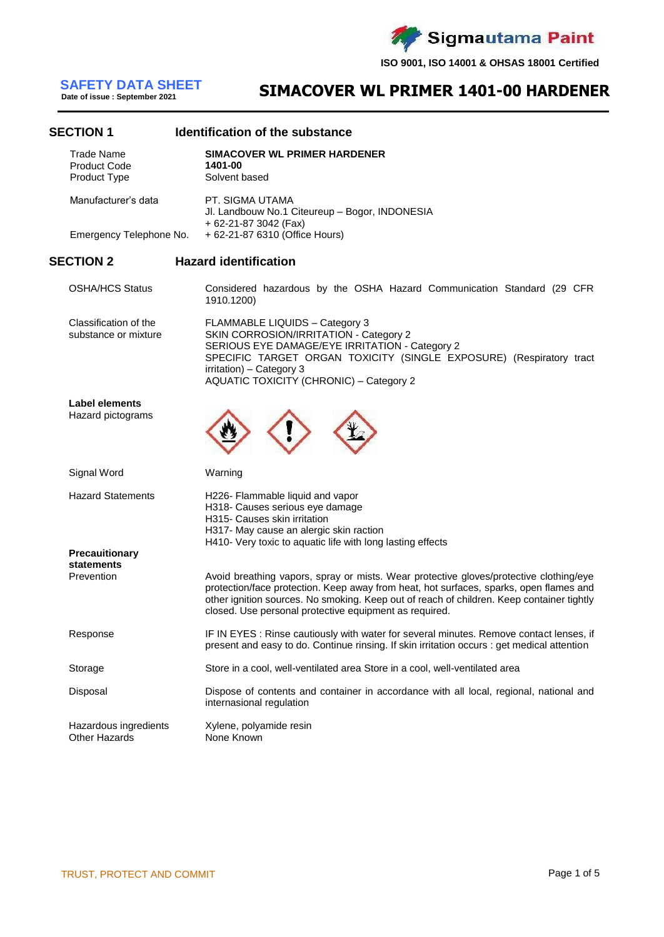**Sigmautama Paint** 

**ISO 9001, ISO 14001 & OHSAS 18001 Certified**

**Date of issue : September 2021**

## **SIMACOVER WL PRIMER 1401-00 HARDENER SAFETY DATA SHEET**

### **SECTION 1 Identification of the substance**

| JLVIIVII I                                        | שטוויווטפווטוו טו נווכ Supsiance                                                                                                                                                                                                                                                                                                        |
|---------------------------------------------------|-----------------------------------------------------------------------------------------------------------------------------------------------------------------------------------------------------------------------------------------------------------------------------------------------------------------------------------------|
| Trade Name<br><b>Product Code</b><br>Product Type | <b>SIMACOVER WL PRIMER HARDENER</b><br>1401-00<br>Solvent based                                                                                                                                                                                                                                                                         |
| Manufacturer's data                               | PT. SIGMA UTAMA<br>Jl. Landbouw No.1 Citeureup - Bogor, INDONESIA<br>+ 62-21-87 3042 (Fax)                                                                                                                                                                                                                                              |
| Emergency Telephone No.                           | + 62-21-87 6310 (Office Hours)                                                                                                                                                                                                                                                                                                          |
| <b>SECTION 2</b>                                  | <b>Hazard identification</b>                                                                                                                                                                                                                                                                                                            |
| <b>OSHA/HCS Status</b>                            | Considered hazardous by the OSHA Hazard Communication Standard (29 CFR<br>1910.1200)                                                                                                                                                                                                                                                    |
| Classification of the<br>substance or mixture     | FLAMMABLE LIQUIDS - Category 3<br>SKIN CORROSION/IRRITATION - Category 2<br>SERIOUS EYE DAMAGE/EYE IRRITATION - Category 2<br>SPECIFIC TARGET ORGAN TOXICITY (SINGLE EXPOSURE) (Respiratory tract<br>irritation) - Category 3<br><b>AQUATIC TOXICITY (CHRONIC) - Category 2</b>                                                         |
| <b>Label elements</b><br>Hazard pictograms        |                                                                                                                                                                                                                                                                                                                                         |
| Signal Word                                       | Warning                                                                                                                                                                                                                                                                                                                                 |
| <b>Hazard Statements</b>                          | H226- Flammable liquid and vapor<br>H318- Causes serious eye damage<br>H315- Causes skin irritation<br>H317- May cause an alergic skin raction<br>H410- Very toxic to aquatic life with long lasting effects                                                                                                                            |
| Precauitionary<br>statements<br>Prevention        | Avoid breathing vapors, spray or mists. Wear protective gloves/protective clothing/eye<br>protection/face protection. Keep away from heat, hot surfaces, sparks, open flames and<br>other ignition sources. No smoking. Keep out of reach of children. Keep container tightly<br>closed. Use personal protective equipment as required. |
| Response                                          | IF IN EYES : Rinse cautiously with water for several minutes. Remove contact lenses, if<br>present and easy to do. Continue rinsing. If skin irritation occurs : get medical attention                                                                                                                                                  |
|                                                   |                                                                                                                                                                                                                                                                                                                                         |

Storage Store in a cool, well-ventilated area Store in a cool, well-ventilated area

Disposal Dispose of contents and container in accordance with all local, regional, national and internasional regulation

Hazardous ingredients Xylene, polyamide resin Other Hazards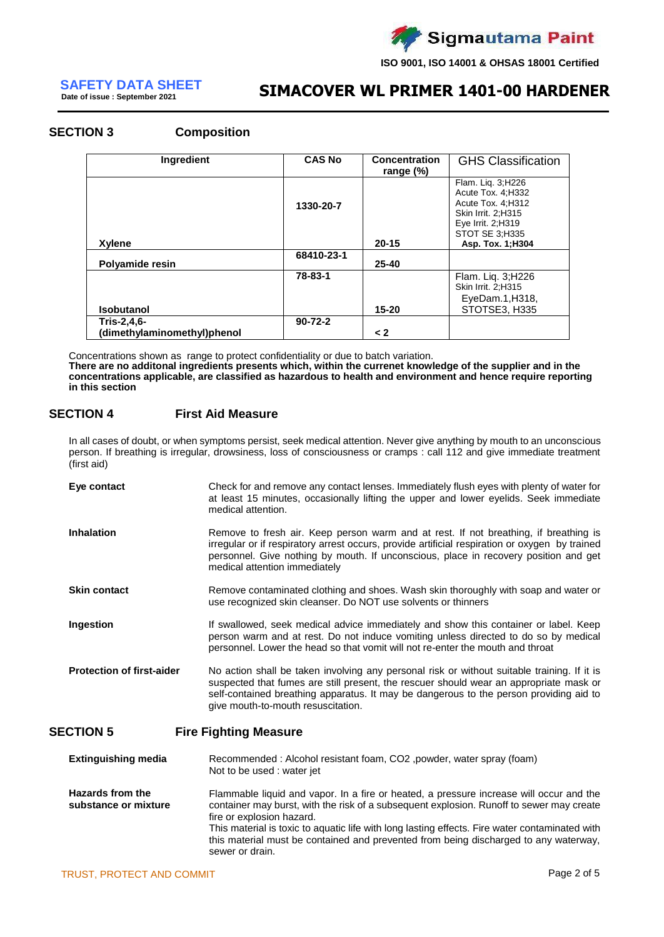

**Date of issue : September 2021**

## **SIMACOVER WL PRIMER 1401-00 HARDENER SAFETY DATA SHEET**

### **SECTION 3**

| <b>Composition</b> |  |
|--------------------|--|
|--------------------|--|

| <b>Ingredient</b>           | <b>CAS No</b> | <b>Concentration</b><br>range $(\%)$ | <b>GHS Classification</b>                                                                                                     |
|-----------------------------|---------------|--------------------------------------|-------------------------------------------------------------------------------------------------------------------------------|
|                             | 1330-20-7     |                                      | Flam. Liq. 3; H226<br>Acute Tox. 4; H332<br>Acute Tox. 4; H312<br>Skin Irrit. 2; H315<br>Eye Irrit. 2; H319<br>STOT SE 3;H335 |
| Xylene                      |               | $20 - 15$                            | Asp. Tox. 1; H304                                                                                                             |
| Polyamide resin             | 68410-23-1    | $25 - 40$                            |                                                                                                                               |
| <b>Isobutanol</b>           | 78-83-1       | $15 - 20$                            | Flam. Liq. 3;H226<br>Skin Irrit. 2; H315<br>EyeDam.1, H318,<br>STOTSE3, H335                                                  |
| Tris-2,4,6-                 | $90 - 72 - 2$ |                                      |                                                                                                                               |
| (dimethylaminomethyl)phenol |               | $\leq$ 2                             |                                                                                                                               |

Concentrations shown as range to protect confidentiality or due to batch variation. **There are no additonal ingredients presents which, within the currenet knowledge of the supplier and in the concentrations applicable, are classified as hazardous to health and environment and hence require reporting in this section**

### **SECTION 4 First Aid Measure**

In all cases of doubt, or when symptoms persist, seek medical attention. Never give anything by mouth to an unconscious person. If breathing is irregular, drowsiness, loss of consciousness or cramps : call 112 and give immediate treatment (first aid)

| Eye contact                      | Check for and remove any contact lenses. Immediately flush eyes with plenty of water for<br>at least 15 minutes, occasionally lifting the upper and lower eyelids. Seek immediate<br>medical attention.                                                                                                               |
|----------------------------------|-----------------------------------------------------------------------------------------------------------------------------------------------------------------------------------------------------------------------------------------------------------------------------------------------------------------------|
| <b>Inhalation</b>                | Remove to fresh air. Keep person warm and at rest. If not breathing, if breathing is<br>irregular or if respiratory arrest occurs, provide artificial respiration or oxygen by trained<br>personnel. Give nothing by mouth. If unconscious, place in recovery position and get<br>medical attention immediately       |
| <b>Skin contact</b>              | Remove contaminated clothing and shoes. Wash skin thoroughly with soap and water or<br>use recognized skin cleanser. Do NOT use solvents or thinners                                                                                                                                                                  |
| Ingestion                        | If swallowed, seek medical advice immediately and show this container or label. Keep<br>person warm and at rest. Do not induce vomiting unless directed to do so by medical<br>personnel. Lower the head so that vomit will not re-enter the mouth and throat                                                         |
| <b>Protection of first-aider</b> | No action shall be taken involving any personal risk or without suitable training. If it is<br>suspected that fumes are still present, the rescuer should wear an appropriate mask or<br>self-contained breathing apparatus. It may be dangerous to the person providing aid to<br>give mouth-to-mouth resuscitation. |
| <b>SECTION 5</b>                 | <b>Fire Fighting Measure</b>                                                                                                                                                                                                                                                                                          |
| <b>Extinguishing media</b>       | Recommended: Alcohol resistant foam, CO2, powder, water spray (foam)<br>Not to be used : water jet                                                                                                                                                                                                                    |

**Hazards from the substance or mixture** Flammable liquid and vapor. In a fire or heated, a pressure increase will occur and the container may burst, with the risk of a subsequent explosion. Runoff to sewer may create fire or explosion hazard. This material is toxic to aquatic life with long lasting effects. Fire water contaminated with this material must be contained and prevented from being discharged to any waterway, sewer or drain.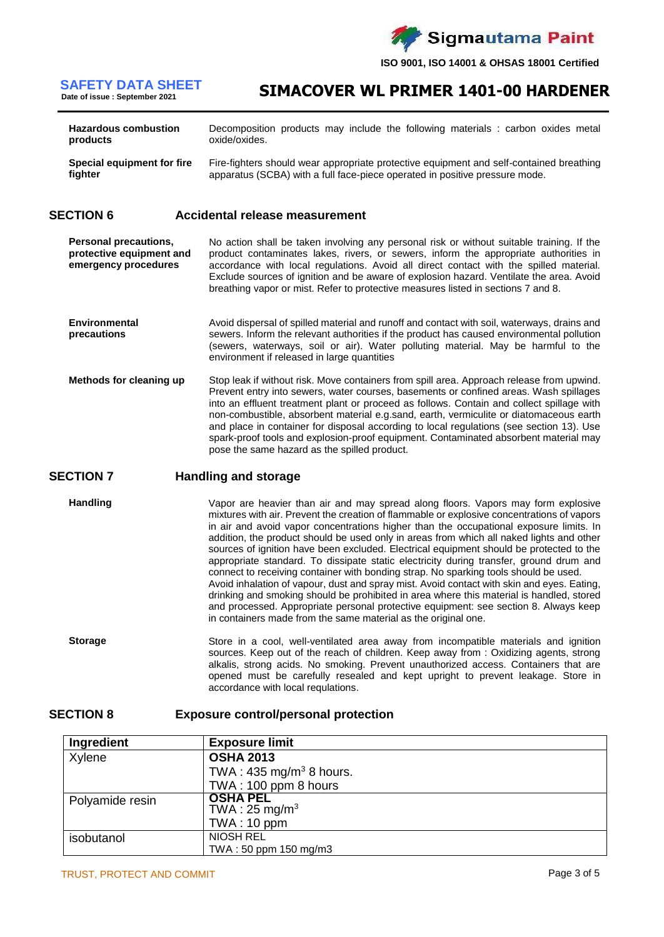

## **Date of issue : September 2021**

**SIMACOVER WL PRIMER 1401-00 HARDENER SAFETY DATA SHEET**

| <b>Hazardous combustion</b>       | Decomposition products may include the following materials : carbon oxides metal        |  |  |  |  |
|-----------------------------------|-----------------------------------------------------------------------------------------|--|--|--|--|
| products                          | oxide/oxides.                                                                           |  |  |  |  |
| <b>Special equipment for fire</b> | Fire-fighters should wear appropriate protective equipment and self-contained breathing |  |  |  |  |
| fighter                           | apparatus (SCBA) with a full face-piece operated in positive pressure mode.             |  |  |  |  |

### **SECTION 6 Accidental release measurement**

**Personal precautions, protective equipment and emergency procedures** No action shall be taken involving any personal risk or without suitable training. If the product contaminates lakes, rivers, or sewers, inform the appropriate authorities in accordance with local regulations. Avoid all direct contact with the spilled material. Exclude sources of ignition and be aware of explosion hazard. Ventilate the area. Avoid breathing vapor or mist. Refer to protective measures listed in sections 7 and 8.

- **Environmental precautions** Avoid dispersal of spilled material and runoff and contact with soil, waterways, drains and sewers. Inform the relevant authorities if the product has caused environmental pollution (sewers, waterways, soil or air). Water polluting material. May be harmful to the environment if released in large quantities
- **Methods for cleaning up** Stop leak if without risk. Move containers from spill area. Approach release from upwind. Prevent entry into sewers, water courses, basements or confined areas. Wash spillages into an effluent treatment plant or proceed as follows. Contain and collect spillage with non-combustible, absorbent material e.g.sand, earth, vermiculite or diatomaceous earth and place in container for disposal according to local regulations (see section 13). Use spark-proof tools and explosion-proof equipment. Contaminated absorbent material may pose the same hazard as the spilled product.

### **SECTION 7 Handling and storage**

**Handling** Vapor are heavier than air and may spread along floors. Vapors may form explosive mixtures with air. Prevent the creation of flammable or explosive concentrations of vapors in air and avoid vapor concentrations higher than the occupational exposure limits. In addition, the product should be used only in areas from which all naked lights and other sources of ignition have been excluded. Electrical equipment should be protected to the appropriate standard. To dissipate static electricity during transfer, ground drum and connect to receiving container with bonding strap. No sparking tools should be used. Avoid inhalation of vapour, dust and spray mist. Avoid contact with skin and eyes. Eating, drinking and smoking should be prohibited in area where this material is handled, stored and processed. Appropriate personal protective equipment: see section 8. Always keep in containers made from the same material as the original one.

**Storage** Store in a cool, well-ventilated area away from incompatible materials and ignition sources. Keep out of the reach of children. Keep away from : Oxidizing agents, strong alkalis, strong acids. No smoking. Prevent unauthorized access. Containers that are opened must be carefully resealed and kept upright to prevent leakage. Store in accordance with local requlations.

### **SECTION 8 Exposure control/personal protection**

| Ingredient      | <b>Exposure limit</b>              |
|-----------------|------------------------------------|
| Xylene          | <b>OSHA 2013</b>                   |
|                 | TWA: $435 \text{ mg/m}^3$ 8 hours. |
|                 | TWA: 100 ppm 8 hours               |
| Polyamide resin | <b>OSHA PEL</b>                    |
|                 | TWA: $25 \text{ mg/m}^3$           |
|                 | TWA: 10 ppm                        |
| isobutanol      | <b>NIOSH REL</b>                   |
|                 | TWA: 50 ppm 150 mg/m3              |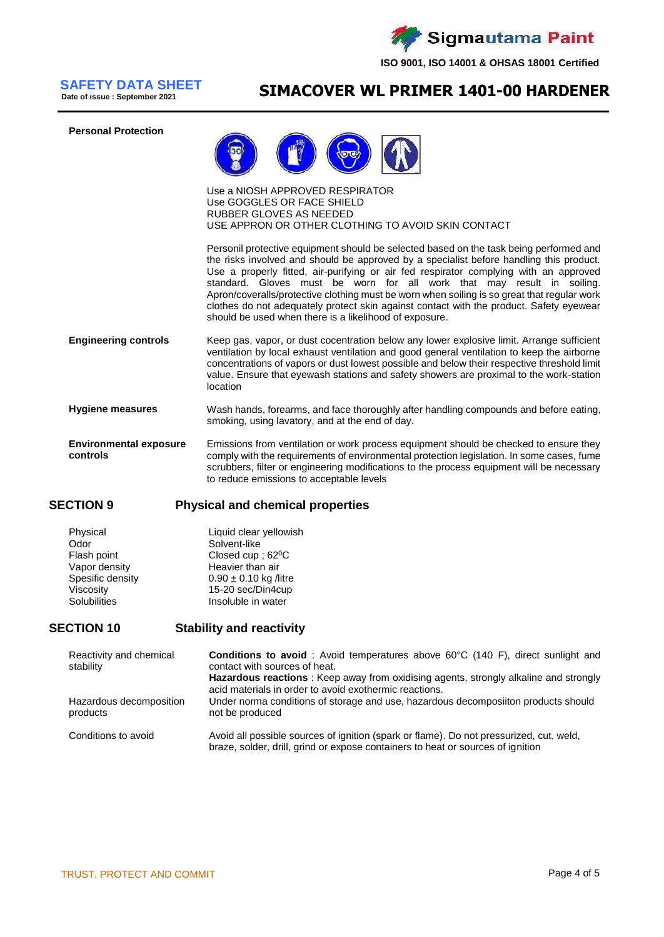

**Date of issue : September 2021**

## **SIMACOVER WL PRIMER 1401-00 HARDENER SAFETY DATA SHEET**





Use a NIOSH APPROVED RESPIRATOR Use GOGGLES OR FACE SHIELD RUBBER GLOVES AS NEEDED USE APPRON OR OTHER CLOTHING TO AVOID SKIN CONTACT

Personil protective equipment should be selected based on the task being performed and the risks involved and should be approved by a specialist before handling this product. Use a properly fitted, air-purifying or air fed respirator complying with an approved standard. Gloves must be worn for all work that may result in soiling. Apron/coveralls/protective clothing must be worn when soiling is so great that regular work clothes do not adequately protect skin against contact with the product. Safety eyewear should be used when there is a likelihood of exposure.

- **Engineering controls** Keep gas, vapor, or dust cocentration below any lower explosive limit. Arrange sufficient ventilation by local exhaust ventilation and good general ventilation to keep the airborne concentrations of vapors or dust lowest possible and below their respective threshold limit value. Ensure that eyewash stations and safety showers are proximal to the work-station location
- **Hygiene measures** Wash hands, forearms, and face thoroughly after handling compounds and before eating, smoking, using lavatory, and at the end of day.

**Environmental exposure controls** Emissions from ventilation or work process equipment should be checked to ensure they comply with the requirements of environmental protection legislation. In some cases, fume scrubbers, filter or engineering modifications to the process equipment will be necessary to reduce emissions to acceptable levels

### **SECTION 9 Physical and chemical properties**

| Physical            | Liquid clear yellowish        |
|---------------------|-------------------------------|
| Odor                | Solvent-like                  |
| Flash point         | Closed cup; 62 <sup>0</sup> C |
| Vapor density       | Heavier than air              |
| Spesific density    | $0.90 \pm 0.10$ kg /litre     |
| Viscosity           | 15-20 sec/Din4cup             |
| <b>Solubilities</b> | Insoluble in water            |

### **SECTION 10 Stability and reactivity**

| Reactivity and chemical<br>stability | <b>Conditions to avoid</b> : Avoid temperatures above 60°C (140 F), direct sunlight and<br>contact with sources of heat.<br><b>Hazardous reactions</b> : Keep away from oxidising agents, strongly alkaline and strongly<br>acid materials in order to avoid exothermic reactions. |  |  |  |
|--------------------------------------|------------------------------------------------------------------------------------------------------------------------------------------------------------------------------------------------------------------------------------------------------------------------------------|--|--|--|
| Hazardous decomposition<br>products  | Under norma conditions of storage and use, hazardous decomposiiton products should<br>not be produced                                                                                                                                                                              |  |  |  |
| Conditions to avoid                  | Avoid all possible sources of ignition (spark or flame). Do not pressurized, cut, weld,<br>braze, solder, drill, grind or expose containers to heat or sources of ignition                                                                                                         |  |  |  |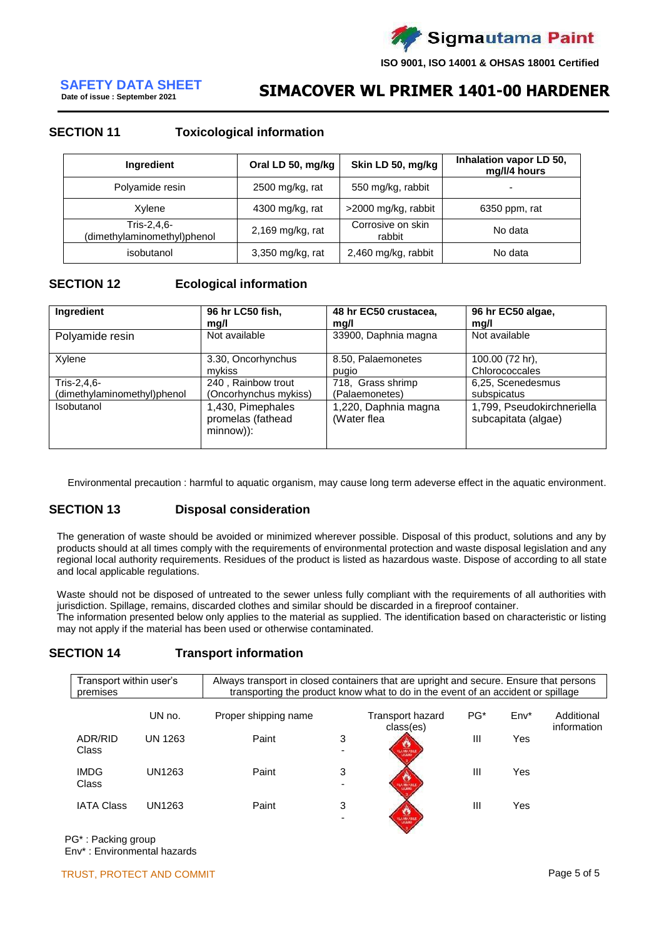

## **Date of issue : September 2021**

## **SIMACOVER WL PRIMER 1401-00 HARDENER SAFETY DATA SHEET**

### **SECTION 11 Toxicological information**

| Ingredient                                 | Oral LD 50, mg/kg  | Skin LD 50, mg/kg           | Inhalation vapor LD 50,<br>mg/l/4 hours |
|--------------------------------------------|--------------------|-----------------------------|-----------------------------------------|
| Polyamide resin                            | 2500 mg/kg, rat    | 550 mg/kg, rabbit           | ٠                                       |
| Xylene                                     | 4300 mg/kg, rat    | >2000 mg/kg, rabbit         | 6350 ppm, rat                           |
| Tris-2,4,6-<br>(dimethylaminomethyl)phenol | $2,169$ mg/kg, rat | Corrosive on skin<br>rabbit | No data                                 |
| isobutanol                                 | 3,350 mg/kg, rat   | 2,460 mg/kg, rabbit         | No data                                 |

### **SECTION 12 Ecological information**

| Ingredient                  | 96 hr LC50 fish,                                    | 48 hr EC50 crustacea,               | 96 hr EC50 algae,                                 |
|-----------------------------|-----------------------------------------------------|-------------------------------------|---------------------------------------------------|
|                             | mg/l                                                | mg/l                                | mg/l                                              |
| Polyamide resin             | Not available                                       | 33900, Daphnia magna                | Not available                                     |
| Xylene                      | 3.30, Oncorhynchus                                  | 8.50, Palaemonetes                  | 100.00 (72 hr),                                   |
|                             | mykiss                                              | pugio                               | Chlorococcales                                    |
| Tris-2,4,6-                 | 240, Rainbow trout                                  | 718. Grass shrimp                   | 6,25, Scenedesmus                                 |
| (dimethylaminomethyl)phenol | (Oncorhynchus mykiss)                               | (Palaemonetes)                      | subspicatus                                       |
| Isobutanol                  | 1,430, Pimephales<br>promelas (fathead<br>minnow)): | 1,220, Daphnia magna<br>(Water flea | 1,799, Pseudokirchneriella<br>subcapitata (algae) |

Environmental precaution : harmful to aquatic organism, may cause long term adeverse effect in the aquatic environment.

### **SECTION 13 Disposal consideration**

The generation of waste should be avoided or minimized wherever possible. Disposal of this product, solutions and any by products should at all times comply with the requirements of environmental protection and waste disposal legislation and any regional local authority requirements. Residues of the product is listed as hazardous waste. Dispose of according to all state and local applicable regulations.

Waste should not be disposed of untreated to the sewer unless fully compliant with the requirements of all authorities with jurisdiction. Spillage, remains, discarded clothes and similar should be discarded in a fireproof container. The information presented below only applies to the material as supplied. The identification based on characteristic or listing may not apply if the material has been used or otherwise contaminated.

### **SECTION 14 Transport information**

| Transport within user's<br>premises |                | Always transport in closed containers that are upright and secure. Ensure that persons<br>transporting the product know what to do in the event of an accident or spillage |                               |                               |                 |         |                           |
|-------------------------------------|----------------|----------------------------------------------------------------------------------------------------------------------------------------------------------------------------|-------------------------------|-------------------------------|-----------------|---------|---------------------------|
|                                     | UN no.         | Proper shipping name                                                                                                                                                       |                               | Transport hazard<br>class(es) | PG <sup>*</sup> | $Env^*$ | Additional<br>information |
| ADR/RID<br>Class                    | <b>UN 1263</b> | Paint                                                                                                                                                                      | 3                             | <b>FLAMMASS.</b>              | Ш               | Yes     |                           |
| <b>IMDG</b><br>Class                | UN1263         | Paint                                                                                                                                                                      | 3<br>$\overline{\phantom{0}}$ | <b>TEACHING ABOUT</b>         | $\mathbf{III}$  | Yes     |                           |
| <b>IATA Class</b>                   | UN1263         | Paint                                                                                                                                                                      | 3                             | 167, 189, 1984                | Ш               | Yes     |                           |

PG\* : Packing group Env\* : Environmental hazards